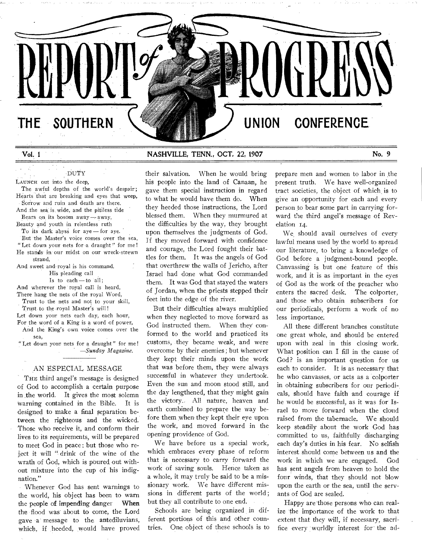THE SOUTHERN  $\sqrt{2}$  **UNION CONFERENCE** 

**Vol. 1 NASHVILLE, TENN., OCT, 22, 1907 No. 9** 

# DUTY

LAUNCH out into the deep,

The awful depths of the world's despair; Hearts that are breaking and eyes that weep, Sorrow and ruin and death are there.

And the sea is wide, and the pitiless tide Bears on its bosom away — away,

Beauty and youth in relentless ruth

To its dark abyss for aye — for aye.

But the Master's voice comes over the sea, " Let down your nets for a draught" for me! He stands in our midst on our wreck-strewn strand,

And sweet and royal is his command. His pleading call

Is to each  $-$  to all;

And wherever the royal call is heard, There hang the nets of the royal Word,

Trust to the nets and not to your skill, Trust to the royal Master's will!

Let down your nets each day, each hour, For the word of a King is a word of power,

And the King's own voice comes over the sea,

"Let down your nets for a draught" for me! *—Sunday Magazine.* 

## AN ESPECIAL MESSAGE

THE third angel's message is designed of God to accomplish a certain purpose in the world. It gives the most solemn Warning contained in the Bible. It is designed to make a final separation between the righteous and the wicked. Those who receive it, and conform their lives to its requirements, will be prepared to meet God in peace; but those who reject it will " drink of the wine of the wrath of God, which is poured out without mixture 'into the cup of his indignation."

Whenever God has sent warnings to the world, his object has been to warn the people of impending danger **When**  the flood was' about to come, the Lord gave a message to the antediluvians, which, if heeded, would have proved their salvation. When he would bring his people into the land of Canaan, he gave them special instruction in regard to what he would have them do. When they heeded those instructions, the Lord blessed them. When they murmured at the difficulties by the way, they brought upon themselves the judgments of God. If they moved forward with confidence and courage, the Lord fought their battles for them. It was the angels of God that overthrew the walls of Jericho, after Israel had done what God commanded them. It was God that stayed the waters of Jordan, when the priests stepped their feet into the edge of the river.

But their difficulties always multiplied when they neglected to move forward as God instructed them. When they conformed to the world and practiced its customs, they became weak, and were' overcome by their enemies ; but whenever they kept their minds upon the work that was before them, they were always successful in whatever they undertook. Even the sun and moon stood still, and the day lengthened, that they might gain the victory. All nature, heaven and earth combined to prepare the way before them when they kept their eye upon the work, and moved forward in the opening providence of God.

We have before us a special work, which embraces every phase of reform that is necessary to carry forward the work of saving souls. Hence taken as a whole, it may truly be said to be a missionary work. We have different missions in different parts of the world ; but they all contribute to one end.

Schools are being organized in different portions of this and other countries. One object of these schools is to prepare men and women to labor in the present truth. We have well-organized tract societies, the object of which, is to give an opportunity for each and every person to bear some part in carrying forward the third angel's message of Revelation 14.

We, should avail ourselves of every lawful means used by the world to spread our literature, to bring a knowledge of God before a judgment-bound people. Canvassing is but one feature of this work, and it is as important in the eyes of God as the work of the preacher who enters the sacred desk. The colporter, and those who obtain subscribers for our periodicals, perform a work of no less importance.

All these different branches constitute one great whole, and should be entered upon with zeal in this closing work. What position can I fill in the cause of God? is an important question for us each to consider. It is as necessary that he who canvasses, or acts as a colporter in obtaining subscribers for our periodicals, should have faith and courage if he would be successful, as it was for' Israel to move forward when the cloud raised from the tabernacle. We should keep steadily about the work God has committed to us, faithfully discharging each day's duties in his fear. No selfish interest should come between us and the work in which we are engaged. God has sent angels from heaven to hold the four winds, that they should not blow upon the earth or the sea, until the servants of God are sealed.

Happy are those persons who can realize the importance of the work to that extent that they will, if necessary, sacrifice every worldly interest for the ad-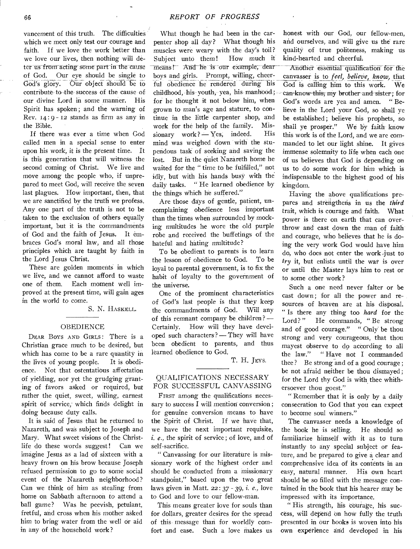vancement of this truth. The difficulties which we meet only test our courage and faith. If we love the work better than we love our lives, then nothing will deter us from acting some part in the cause of God. Our eye should be single to God's glory. Our object should be to contribute to the success of the cause of our divine Lord in some manner. His Spirit has spoken ; and the warning of Rev.  $14:9 - 12$  stands as firm as any in the Bible.

If there was ever a time when God called men in a special sense to enter upon his work, it is the present time. It is this generation that will witness the second coming of Christ. We live and move among the people who, if unprepared to meet God, will receive the seven last plagues. How important, then, that we are sanctified by the truth we profess. Any one part of the truth is not to be taken to the exclusion of others equally important, but it is the commandments of God and the faith of Jesus. It embraces God's moral law, and all those principles which are taught by faith in the Lord Jesus Christ.

These are golden moments in which we live, and we cannot afford to waste one of them. Each moment well improved at the present time, will gain ages in the world to come.

S. N. HASKELL.

### OBEDIENCE

DEAR BOYS AND GIRLS: There is a Christian grace much to be desired, but which has come to be a rare quantity in the lives of young people. It is obedience. Not that ostentatious affectation of yielding, nor yet the grudging granting of favors asked or required, but rather the quiet, sweet, willing, earnest spirit of service; which finds delight in doing because duty calls.

It is said of Jesus that he returned to Nazareth, and was subject to Joseph and Mary. What sweet visions of the Christlife do these words suggest ! Can we imagine Jesus as a lad of sixteen with a heavy frown on his brow because Joseph refused permission to go to some social event of the Nazareth neighborhood? Can we think of him as stealing from home on Sabbath afternoon to attend a ball game? Was he peevish, petulant, fretful, and cross when his mother asked him to bring water from the well or aid in any of the household work?

What though he had been in the carpenter shop all day ? What though his muscles were weary with the day's toil? Subject unto them! How much it means! And he is our example, dearboys and girls. Prompt, willing, cheerful obedience he rendered during his childhood, his youth, yea, his manhood; for he thought it not below him, when grown to man's age and stature, to continue in the little carpenter shop, and work for the help of the family. Mis $sionary work? - Yes, indeed. His$ mind was weighed down with the stupendous task of seeking and saving the lost. But in the quiet Nazareth home he waited for the " time to be fulfilled," not idly, but with his hands busy with the daily tasks. " He learned obedience by the things which he suffered."

Are those days of gentle, patient, uncomplaining obedience less important than the times wheh surrounded by mocking multitudes he wore the old purple robe and received the buffetings of the hateful and hating multitude?

To be obedient to parents is to learn the lesson of obedience to God. To be loyal to parental government, is to fix the habit of loyalty to the government of the universe.

One of the prominent characteristics of God's last people is that they keep the commandments of God. Will any of this remnant company be children? — Certainly. How will they have developed such characters? — They will have been obedient to parents, and thus learned obedience to God.

T. H. JEYS.

## QUALIFICATIONS NECESSARY FOR SUCCESSFUL CANVASSING

FIRST among the qualifications necessary to success I will mention conversion ; for genuine conversion means to have the Spirit of Christ. If we have that, we have the next important requisite, i. *e.,* the spirit of service ; of love, and of self-sacrifice.

" Canvassing for our literature is missionary work of the highest order and should be conducted from a missionary standpoint," based upon the two great laws given in Matt. 22 : 37 - 39, i. *e.,* love to God and love to our fellow-man.

This means greater love for souls than for dollars, greater desires for the spread of this message than for worldly comfort and ease. Such a love makes us honest with our God, our fellow-men, and ourselves, and will give us the rare quality of true politeness, making us kind-hearted and cheerful.

Another essential qualification for the canvasser is to *feel, believe, know,* that God is calling him to this work. We can-know this, my brother and sister; for God's words are yea and amen. " Believe in the Lord your God, so shall ye be established ; believe his prophets, so shall ye prosper." We by faith know this work is of the Lord, and we are commanded to let our light shine. It gives immense solemnity to life when each one of us believes that God is depending on us to do some work for him which is indispensable to the highest good of his kingdom.

Having the above qualifications prepares and strengthens in us the *third*  trait, which is courage and faith. What power is there on earth that can overthrow and cast down the man of faith and courage, who believes that he is doing the very work God would have him do, who does not enter the work just to *try* it, but enlists until the war is over or until the Master lays him to rest or to some other work ?

Such a one need never falter or be cast down ; for all the power and resources of heaven are at his disposal. " Is there any thing too *hard* for the Lord?" He commands, "Be strong and of good courage." " Only be thou strong and very courageous, that thou mayest observe to do according to all the law." " Have not I commanded thee ? Be strong and of a good courage ; be not afraid neither be thou dismayed ; for the Lord thy God is with thee whithersoever thou goest."

" Remember that it is only by a daily consecration to God that you can expect to become soul winners."

The canvasser needs a knowledge of the book he is selling. He should so familiarize himself with it as to turn instantly to any special subject or feature, and be prepared to give a clear and comprehensive idea of its contents in an easy, natural manner. His own heart should be so filled with the message contained in the book that his hearer may be impressed with its importance.

" His strength, his courage, his success, will depend on how fully the truth presented in our books is woven into his own experience and developed in his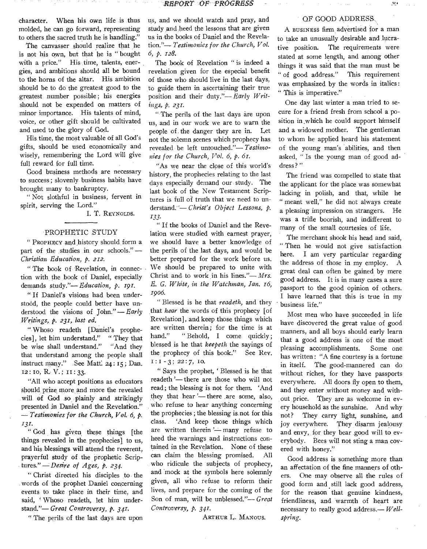character. When his own life is thus molded, he can go forward, representing to others the sacred truth he is handling."

The canvasser should realize that he is not his own, but that he is " bought with a price." His time, talents, energies, and ambitions should all be bound to the horns of the altar. His ambition should be to do the greatest good to the greatest number possible ; his energies should not be expended on matters of minor importance. His talents of mind, voice, or other gift should be cultivated and used to the glory of God.

His time, the most valuable of all God's gifts, should be used economically and wisely, remembering the Lord will give full reward for full time.

Good business methods are necessary to success ; slovenly, business habits have brought many to, bankruptcy.

" Not slothful in business, fervent in spirit, serving the Lord."

I. T. REYNOLDS.

## PROPHETIC STUDY

" PROPHECY and history should form a part of the studies in our schools." *— Christian Education, p. 212.* 

" The book of Revelation, in connection with, the book of Daniel, especially demands study."— *Education, p. 191.* 

" If Daniel's visions had been understood, the people could better have understood the visions of John."— *Early Writings, p. 231, last ed.* 

" Whoso readeth [Daniel's prophecies], let him understand." " They that be wise shall understand." "And they that understand among the people shall instruct many." See Matt. 24: 15; Dan. 12: to, R. V.; 11:33.

"All who accept positions as educators should prize more and more the revealed will of God so plainly and strikingly presented in Daniel and the Revelation." *-- Testimonies for the Church, Vol. 6, p. 131.* 

" God has given these things [the things revealed in the prophecies] to us, and his blessings will attend the reverent, prayerful study of the prophetic Scriptures." *— Desire of Ages, p. 234•* 

" Christ directed his disciples to the words of the prophet Daniel concerning events to take place in their time, and said, 'Whoso readeth, let him understand."— *Great Controversy, P. 341•* 

" The perils of the last days are upon

us, and we should watch and pray, and study and heed the lessons that are given us in the books of Daniel and the Revelation."— *Testimonies for the Church, Vol. 6, p. 128.* 

The book of Revelation " is indeed a revelation given for the especial benefit of those who should live in the last days, to guide them in ascertaining their true position and their duty."— *Early Writings, p. 231.* 

" The perils of the last days are upon us, and in our work we are to warn the people of. the danger they are in. Let not the solemn scenes which prophecy has revealed be left untouched."— *Testimonies for the Church, Vol. 6, p. 61.* 

"As we near the close of this world's history, the prophecies relating to the last days especially demand our study. The last book of the New Testament Scriptures is full of truth that we need to understand. - *Christ's Object Lessons, p. 133•* 

" If the books of Daniel and the Revelation were studied with earnest prayer, we should have a better knowledge of the perils of the last days, and would be better prepared for the work before us. We should be prepared to unite with Christ and to work in his lines."— *Mrs. E. G. White, in the Watchman, Jan. 16, 1906.* 

" Blessed is he that *readeth,* and they that *hear* the words of this prophecy [of Revelation], and keep those things which are written therein; for the time is at hand." "Behold, I come quickly; blessed is he that *keepeth* the sayings of the prophecy of this book." See Rev.  $1: 1 - 3$ ; 22:7, 10.

" Says the prophet, ' Blessed is he that readeth '— there are those who will not read; the blessing is not for them. 'And they that hear '— there are some, also, who refuse to hear anything concerning the prophecies ; the blessing is, not for this class. 'And keep those things which are written therein '- many refuse to heed the warnings and instructions contained in the Revelation. None of these can claim the blessing promised. All who ridicule the subjects of prophecy, and mock at the symbols here solemnly given, all who refuse to reform their lives, and prepare for the coming of the Son of man, will be unblessed."-Great *Controversy, p. 341.* 

ARTHUR L. MANOUS.

## OP GOOD ADDRESS

A BUSINESS firm advertised for a man to take an unusually desirable and lucrative position. The requirements were stated at some length, and among other things it was said that the man must be " of good address." This requirement was emphasized by the words in italics : " This is imperative."

One day last winter a man tried to secure for a friend fresh from school a position in which he could support himself and a widowed mother. The gentleman to whom he applied heard his statement of the young man's abilities, and then asked, " Is the young man of good address?"

The friend was compelled to state that the applicant for the place was somewhat lacking in polish, and that, while he " meant well," he did not always create a pleasing impression on strangers. He was a trifle boorish, and indifferent to many of the small courtesies of life.

The merchant shook his head and said, " Then he would not give satisfaction here. I am very particular regarding the address of those in my employ. A great deal can often be gained by mere good address. It is in many cases a sure passport to the good opinion of others. I have learned that this is true in my business life."

Most men who have succeeded in life have discovered the great value of good manners, and all boys should early learn that a good address is one of the most pleasing accomplishments. Some one has written: "A fine courtesy is a fortune in itself. The good-mannered can do without riches, for they have passports everywhere. All doors fly open to them, and they enter without money and without price. They are as welcome in every household as the sunshine. And why not? They carry light, sunshine, and joy everywhere. They disarm jealousy and envy, for they bear good will to everybody. Bees will not sting a man covered with honey."

Good address is something more than an affectation of the fine manners of others. One may observe all the rules of good form and still lack good address, for the reason that genuine kindness, friendliness, and warmth of heart are necessary to really good address.— *Wellspring.* 

្លុប្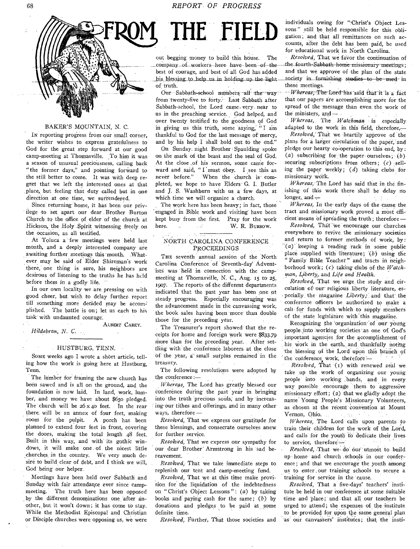**THE HELD** 



## BAKER'S MOUNTAIN, N. C.

Ix reporting progress from our small corner, the writer wishes to express gratefulness to God for the great step forward at our good camp-meeting at Thomasville. To him it was a season of unusual preciousness, calling back "the former days," and pointing forward to the still better to come. It was with deep regret that we left the interested ones at that place, but feeling that duty called but in one direction at one time, we surrendered.

Since returning home, it has been our privilege to set apart our dear Brother Burton Church to the office of elder of the church at Hickson, the Holy .Spirit witnessing freely on the occasion, as all testified.

At Toluca a few meetings were held last month, and a deeply interested company are awaiting further meetings this-month. What- , ever may be said of Elder Shireman's work there, one thing is sure, his neighbors are desirous of listening to the truths he has held before them in a godly life.

In our own locality we are pressing on with good cheer, but wish to delay further report till something more decided may be accom: plished. The battle is on; let us each to his task with undaunted courage.

ALBERT CAREY. *Hildebran, N. C.* 

#### HUSTBURG, TENN.

SomE weeks ago I wrote a short article, telling how the work is going here at Hustburg, Tenn.

The lumber for framing, the new church has been sawed and is all on the ground, and the foundation is now laid. In land, work, lumber, and money we have about \$650 pledged. The church will be 26 x 40 feet. In the rear there, will be an annex of four feet, making room for the pulpit. A porch has been planned to extend four feet in front, covering the doors, making the total length 48 feet. Built in this way, and with its gothic windows, it will make one of the nicest little ,churches in the country. We very much desire to build clear of debt, and I think we will, God being our helper.

Meetings have been held over Sabbath and Sunday with fair attendance ever since campmeeting.' The truth here has been opposed by the different denominations one, after another, but it won't down; it has come to stay. While the Methodist Episcopal and Christian or Disciple churches were opposing us, we were

out begging money to build this house. The company of workers here have been of the best of courage, and best of all God has added his blessing to help us in holding up the light of: truth.

Our-Sabbath-school numbers all the way: from twenty-five to forty.' Last Sabbath after Sabbath-school, the Lord came. very. near to us in the preaching service., God helped, and over twenty testified to the goodness of God in giving us this truth, some saying; "I am thankful to God' for the last message of mercy, and by his help I shall hold out to the end."

On Sunday. night Brother 'Spaulding spoke on the mark of the beast and the seal of God. At the close ,of his sermon, some came forward and said, " $I'$  must obey. I see this as never before." When the church is com-When the church is' completed, we' hope to have Elders' G. I. Butler and J. S. Washburn with us a few days, at which time we will organize a church.

The work here has been heavy; in fact, those engaged in Bible work and visiting have been kept busy from the first. Pray for the work here. W. R. BURROW.

## NORTH CAROLINA CONFERENCE PROCEEDINGS

THE seventh annual session of the North Carolina Conference of Seventh-day' Advent ists was held in connection with the campmeeting at Thomasville, N. C., Aug. 15 to 25, 1907. The reports of the different departments indicated that the past year has been one of steady progress. Especially encouraging was the advancement made 'in the canvassing work, the book sales having been 'more' than double those for the preceding year.

The Treasurer's report showed that the receipts for home and foreign work were 33.7o more than for the preceding year. After settling with the conference laborers at the close of the year, a small surplus remained in the treasury.

The following resolutions were adopted by the conference:-

*Whereas,* The Lord has greatly blessed our conference during the past year in bringing into the truth precious souls; and by increas-<br>ing our tithes and offerings, and in many other<br>ways, therefore *-*<br>*Pecologed*, That we express our explicited for ing' our tithes and offerings, and in many other

*Resolved,* That we express our gratitude for these blessings, and consecrate ourselves anew for further service.

*Resolved,* That we express our sympathy for our dear Brother' Armstrong in his 'sad bereavement.

*Resolved,* That we take immediate steps to replenish our tent and camp-meeting fund.

Resolved, That we at this time make provision for the liquidation of the indebtedness on "Christ's Object Lessons": *(a)* by taking books and' paying cash for the same; *(b)* by donations and pledges to be paid at some definite time.

*Resolved,* Further, That those societies and

individuals owing for ":Christ's Object Lessons" still be held responsible for this obligation; and that all remittances on such accounts, after the debt has been paid, be used for educational work in North Carolina.

*Resolved*, That we favor the continuation of the fourth-Sabbath home missionary meetings; and that we approve' of -the plan of the state society in furnishing studies to be used in these meetings.

 $-Wheres$ , The Lord has said that it is a fact that our papers are accomplishing more for the spread of the 'message than even the work of the ministers,  $and$ -

*Whereas,,* The *Watchman* is especially adapted to the work in this field, therefore,-

*Resolved,'* That we 'heartily 'approve of the plans for a larger circulation of the paper,'and pledge our hearty co-operation to this end, by: (a) subscribing for:the paper. ourselves; *(b)*  securing subscriptions from others; *(c)* selling the paper weekly; *(d)* taking clubs for missionary work.

*Whereas,-The* Lord has said that in the finishing of this work there shall be delay no longer, and  $-$ 

*Whereas,* In the' early days of- the cause the tract and missionary work proved a most efficient means of spreading the truth; therefore --

*Resolved, That* we encourage our churches everywhere to revive the missionary societies and return to former methods of work, by: "(a)<sup>\*</sup> keeping a reading rack in some public place supplied with literature;  $(b)$  using the "Family Bible Teacher" and tracts in neighborhood work; *(c)* taking. clubs of the *Watch*man, Liberty, and Life and Health.

*Resdved,* That we urge, the study and circulation' of our' religious liberty literature, especially the magazine *Liberty*, and that the conference officers be authorized to make a call for funds with which to supply members of the state legislature with this magazine.

Recognizing the organization of our young people.into Working societies 'as one of God's important agencies for the accomplishment of his work in the earth, and thankfully noting the blessing of the Lord upon this branch of the 'conference. Work; therefore'

*Resolved,* That (i) with renewed zeal we take up the work of organizing our young people into working :bands, and in every way possible encourage 'them to aggressive missionary effort; (2) that we gladly adopt the name' Young People's Missionary Volunteers, as chosen at the recent convention at Mount Vernon, Ohio. **CONSTRUCTOR** 

*Whereas,* The Lord calls upon parents to train their children for the work of the Lord, and calls for the youth to dedicate their lives to service; therefore

*Resolved, That we do our utmost to build* up home and church .sehools in Our conference; and that we encourage the youth among us to enter .our training schools to secure a training for service in the cause.

*Resolved,* That a five-days' teachers' institute be held in our conference at: some Suitable -time and 'place; and that all our teachers be urged to attend; the expenses of the institute to be provided for upon the same general plan 'as' our canvassers' institutes; that the insti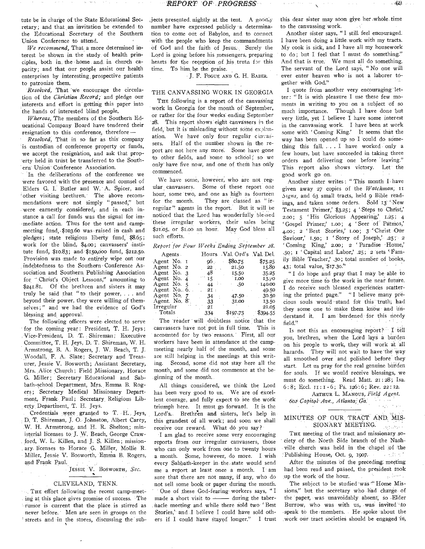tute be in charge of the State Educational Secretary; and that \_an invitation be extended to the Educational Secretary of the Southern Union Conference to attend.

*We recommend,* That a more determined interest be shown in the study of health principles, both in. the home and in church capacity; and that our people assist our health enterprises by interesting\_ prospective patients to patronize them.

*Resolved,* That 'we encourage the circulation of the *Christian Record;* and pledge our interests and effort in getting this paper into the hands of interested blind people.

*Whereas,* The members of the Southern Educational Company Board have tendered their resignation to this conference, therefore —

' *Resolved,* That in so far as this company is custodian of conference property or funds, we accept the resignation, and ask that property held in trust be transferred to the Southern Union Conference Association.

In the deliberations of the conference we were favored with the presence and counsel of Elders G. I. Butler and W. A. Spicer, and 'other visiting brethren. The above recommendations were not simply " passed," but were earnestly considered, and in each instance a call for funds was the signal for im mediate action. Thus for the tent and campmeeting fund, \$103.60 was - raised in cash and pledges; state religious liberty fund,  $$8.65;$ work for the blind, \$4.00; canvassers' institute fund, \$10.83; and \$15o,0oo fund, \$212.50. Provision was made to entirely wipe out our indebtedness to the Southern 'Conference Association and Southern Publishing Association for ";Christ's Object Lessons," amounting to \$241.81. Of the brethren and sisters it may truly be said that " to their power, . . and beyond their power, they were willing of themselves;" and we had the evidence of God's blessing and, approval.

The following officers were- elected to serve for the coming year : President, T. H. Jeys ; Vice-President, D. T. Shireman; Executive Committee, T. H. Jeys, D. T. Shireman, W. H. Armstrong, B. A. Rogers, J. W. Beach, T. J. Woodall, F. A. Slate; Secretary and Treasurer, Jessie V. Bosworth; Assistant Secretary, Mrs, Alice Church; Field Missionary, Horace G. Miller; Secretary Educational and Sabbath-school,, Department, Mrs. Emma B. Rogers; Secretary Medical Missionary Department, Frank- Paul; Secretary. Religious Liberty Departinent, T. H. Jeys.

Credentials were granted to T. H. Jeys, D, T. Shireman, J. O. Johnston, Albert Carey, W. H. Armstrong, and H. R. Shelton; ministerial licenses to J. W. Beach, George Craw-, ford, W. L.- Killen, and J. S. Killen; mission- , ary- licenses to Horace G. Miller, Mollie R. Miller, Jessie V. Bosworth, Emma B. Rogers, and. Frank Paul.

JESSIE V. BOSWORTH, Sec.

#### CLEVELAND, TENN.

THE effort following the recent camp-meeting at this place gives promise of success. 'The rumor is current that the place is stirred as never before. Men are seen in groups on the streets and in the stores, discussing the sub-

 $j$ ects presented nightly at the tent. A goodly number have expressed publicly a determination to come out of Babylon, and to connect with the people who keep the commandments Of God and the faith of Jesus. Surely the Lord is going before his messengers, preparing hearts for the reception of his truth for this time. To him be the praise.

J. F. POGUE AND G. H. BARER.

#### THE CANVASSING WORK IN GEORGIA

THE following is a report of the canvassing work in Georgia for the month of' September, or rather for the four weeks ending September 28. This report shows eight canvassers in the field, but it is misleading without some explanation. We have only four regular cinvassers. Half of the number shown in the report are not here any more. Some have gone to other fields, and some to school; so we only-have five now, and one of them has only commenced.

We have some, however, who are not regular canvassers. Some of these report one hour, some two, and one as high as fourteen for the month. They are classed as " irregular" agents in the report. But it will be noticed that the Lord has wonderfully blessed these irregular workers, their sales being \$21.05, or \$1.00 an hour. May God bless all such efforts.

*Report for Four Weeks Ending September 28.* 

| Agents.                   |               | Hours Val. Ord's Val. Del. |          |
|---------------------------|---------------|----------------------------|----------|
| Agent No. 1               | - 96          | \$80.75                    | \$75.25  |
| Agent No. 2               | 22            | 21.50                      | 15.80    |
| Agent No. 3               | 48            | 15.50                      | 35.25    |
| Agent No. 4               | $\mathbf{15}$ | 1.00                       | 13.70    |
| Agent No. 5               | 44            | $-.50$                     | 140.00   |
| Agent. No., $6.$ .        | $2I$ :        |                            | 49.50    |
| Agent No. 7               | 34            | $-47.50$                   | 30.50    |
| Agent. No. 8 <sup>-</sup> | 33            | 31.00                      | 13.50    |
| Irregular                 | 21            |                            | 21.05    |
| · Totals                  | 334           | \$197.75                   | \$394.55 |

The 'reader will donbtless notice that the canvassers have not put in full time. This is accounted for by two reasons. First, all our workers have been in attendance at the campmeeting nearly half of the month, and some are still helping in the meetings at this writing. Second, some did not stay here all the month, and some did not commence at the beginning of the month.

All things considered, we think the Lord has been very good to us. We' are of excellent courage, and fully expect to see the work triumph here. It must go forward. It is the Lord's. Brethren and sisters, let's help in this grandest of all work; and soon we shall receive our reward. What do you say?

I am glad to receive some very encouraging reports from our irregular canvassers, those who can only work from one to twenty hours a month. Some, however, do more. I wish every Sabbath-keeper in- the state would send me a report at least once a month. I am sure that there are not many, if any, who do not sell some book or paper during the month. One of these God-fearing workers says, " I made a short visit to  $\frac{du}{dx}$  during the tabernacle meeting and while there sold two 'Best Stories,' and I believe I could have sold others if I could have stayed longer." I trust

this dear sister may soon give her ,whOle time to the canvassing work.

 $-69$ 

Another sister says, "I still feel encouraged. I have been doing a little work with my tracts. My cook is sick, and I have all my housework to do ; but I feel that I must do something." And that is true. We must all do something. The servant of the Lord says, "No one will ever enter heaven who is not a laborer together with God."

I quote from another very encouraging letter : " It is with pleasure I use these few moments in writing to you on 'a subject 'of so much importance. Though I have done but very little, yet I believe I have some interest in the canvassing work. I have been at work some with ' Coming King.' It seems that the way has been opened up so I could do something this fall. . . . I have worked. only a few hours, but have succeeded in taking three orders and delivering one before leaving." This report also shows victory. Let the good work go on.

Another sister writes: "This month I have given away 27 copies of the *Watchman;* it Signs, and 63 small tracts, held 9 Bible readings, and taken some Orders. Sold 13.'New Testament Primer,' \$3.25; 4 `Steps to Christ,' 2.00; 5 'His Glorious Appearing,' 1.25; 4 ' Gospel Primer;' Loo; 4 ' Seer of Pathos,' 4.00; 2 'Best Stories,' 1.00; 3 Christ Our Saviour,' 1.50; I 'Story of Joseph,' .25; 2 ' Coming King,' 2.00; 2 Paradise -Home,' .5o; I ' Capital and Labor,' .25; 2'sets Family Bible Teacher,' .30; total number of books, 43; total value, \$17.30."

" I do hope and pray that I may be able to give more time to the work in the near future. I do receive such blessed experiences scattering the printed page." "I believe many precious souls would stand for this truth; had they some one to make them know and understand it. I am burdened for this needy field."

Is not this an encouraging report? I tell you, brethren, when' the LOrd lays a burden on his people to work, they will work at 'all hazards. They will not wait to have 'the way all smoothed over and polished before they start. Let us pray for the real genuine biirden for souls. If we would receive blessings, we must do something. Read Matt. 21 : 28; Isa. 6: 8; Eccl. I I : 1 - 6; Ps. 126: 6; Rev. 22 : 12.

ARTHUR L. MANOUS, *Field Agent. 662 Capitol' Ave., Atlanta,: Ca: • -* 

MINUTES OF OUR TRACT AND MIS-SIONARY MEETING. **Security** 

THE meeting of the tract and missionary .society of the. North Side branch -of-the Nashville church was held in the chapel of the 'Publishing House, Oct. 9, 1907. **SACRO SECTION** 

After the minutes 'of the preceding: meeting had been read and passed, the president took up the work of the hour. ings bears

The subject to be studied was " Home Missions," but the secretary who had charge of the paper, was unavoidably absent, so Elder Burrow, who was with us, -was invited 'to speak to the members. He spoke about the work our tract societies should be engaged in,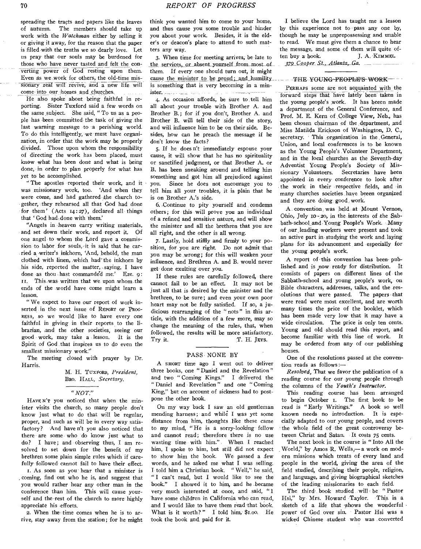spreading the tracts and papers like the leaves of autumn. The members should take up work with the *Watchman* either by selling it or giving it away, for the reason that the paper is filled with the truths we so dearly love. Let us pray that our souls may be burdened for those who have never tasted and felt the converting power of God resting upon them. Even as we work for others, the old-time mis sionary zeal will revive, and a new life will come into our homes and churches.

He also spoke about being faithful in reporting. Sister Tuxford said a few words on the same subject. She said, " To us as a people has been committed the task of giving the last warning message to a perishing world. To do this intelligently, we must have organization, in order that the work may be properly divided. Those upon whom the responsibility of directing the work has been placed, must know what has been done and what is being done, in order to plan properly for what has yet to be accomplished.

" The apostles reported their work, and it was missionary work, too. 'And when they were come, and had gathered the church together, .they rehearsed all that God had done for them' (Acts 14:27), declared all things that 'God had, done with 'them.'

"Angels in heaven carry writing materials, and set down their work, and report it. Of one angel to whom the Lord gave a commission to labor for souls, -it is said that he carried a •writer's inkhorn, 'And, behold, the man clothed with linen, which had' the inkhorn by his side, reported the matter, .saying, I have done as thou hast commanded me.' Eze. 9: IL This was written that we upon whom the ends of the world have come might learn a lesson.

" We expect to have our report of work inserted in the next issue of REPORT or PROG-RESS, so we would like to have every one faithful in giving in their reports to the librarian, and the other societies, seeing our good • work, may take a lesson. It is the Spirit of God that inspires us to do even the smallest missionary work."

The meeting closed with prayer by Dr. Harris.

> M. H. TUXFORD, President, BRo. HALL, *Secretary.*

### *n• NOT."*

HAVE N'T you noticed that when the minister visits the church, so many people don't know just what to do that will be regular, proper, and such as will be in every way satisfactory? And have n't you also noticed that there are some • who do know just what to do? I have; and observing thus, I am resolved to set down for the benefit of my brethren some plain simple rules which if carefully followed cannot fail to have their effect.

1. As soon as you hear that a minister is coming, find out who he is, and suggest that you would rather hear any other man in the conference than him. This will cause yourself and the rest of the church to more highly appreciate his efforts.

2. When the time comes when he is to arrive, stay away from the station; for he might think you wanted him to come to your home, and thus cause you some trouble and hinder you about your work. Besides, it is the elder's or deacon's place to attend to such matters any way.

3. When time for meeting arrives, be late to the services, or absent yourself from most of them. If every one should turn out, it might cause the minister to be proud; and humility is something that is very becoming in a minister a contemporar

4. As occasion affords, be sure to tell him all about your trouble with Brother A. and Brother B.; for if you don't, Brother A. and Brother B. will tell their side of the story, and will influence him to be on their side. Besides, how can he preach the message if he don't know the facts?

5. If he does n't immediately espouse your cause, it will show that he has no spirituality or sanctified judgment, or that Brother A. or B. has been sneaking around and telling him something and got him all prejudiced against you. Since he does not encourage you to tell him all your troubles, it is plain that he is on Brother A.'s side.

6—Continue to pity yourself and condemn others; for this will prove you an individual of a refined and sensitive nature, and will show the minister and all the brethren that you are all right, and the other is all wrong.

7. Lastly, hold stiffly and firmly to your position, for you are right. Do not admit that you may be wrong; for this will weaken your influence, and Brethren A. and B. would never get done exulting over you.

If these rules are carefully followed, there cannot fail to be an effect. It may not be just all that is desired by the minister and the brethren, to be sure; and even your own poor heart may not be fully satisfied. If so, a judicious rearranging of the "nots" in this article, with the addition of a few more, may so change the meaning of the rules, that, when followed, the results will be more satisfactory.<br>Try it. T. H. JEYS. T. H. JEVS.

#### PASS NONE BY

A SHORT time ago I went out to deliver three books, one "Daniel and the Revelation " and two " Coming Kings." I delivered the " Daniel and Revelation " and one " Coming King," but on account of sickness had to postpone the other book.

On my way back I saw an old gentleman mending harness; and while I was yet some distance from him, thoughts like these came to my mind, "He is a sorry-looking fellow and cannot read; therefore there is no use wasting time with him." When I reached him, I spoke to him, but still did not expect to show him the book. We passed a few words, and he asked me what I was selling. I told him a Christian book. "Well," he said, " I can't read, but I would like to see the book." I showed it to him, and he became very much interested at once, and said, "1 have some children in California who can read, and I would like to have them read that book. What is it worth?" I told him, \$1.00. He -took the book and. paid for it.

I believe the Lord has taught me a lesson by this experience not to pass any one by, though he may be unprepossessing and unable to read. We must give them a chance to hear the message, and some of them will quite often buy a book. J. A. KIMMEL. *379 \_Cooper St.,\_Atlanta, Ga* 

- THE YOUNG PEOPLE'S WORK

PERHAPS some are not acquainted with the forward steps that have lately been taken in the young people's work. It has beeen made a department of the General Conference, and Prof. M. E. Kern of College View, Neb., has been chosen chairman of the department, and Miss Matilda Erickson of Washington, D. C., secretary. This organization in the General, Union, and local conferences is to be known as the Young People's Volunteer Department, and in the local churches as the Seventh-day Adventist Young People's Society of Mis-Secretaries have been appointed in every conference to look after the work in their respective fields, and •in many churches societies have beeen organized and they are doing good, work.

A convention was held at Mount Vernon, Ohio, July 10-20, in the interests of the Sabbath-schooland Young People's Work. Many of our, leading workers were present and took an active part in studying the work and laying plans for its advancement, and especially for the young people's work.

A report of this convention has been- published and is now ready for distribution. It consists of papers on different lines of the Sabbath-school and young people's work, on Bible characters, addresses, talks, and the resolutions that were passed. The papers that were read were most excellent, and are worth many times the price of the booklet, which has been made very low that it may have a wide circulation. The price is only ten cents. Young and old should read this report, and become familiar with this line of work. It may be ordered from any of our publishing houses.

One of the resolutions passed at the convention reads as *follows:—* 

*Resolved,* That we favor the publication of a reading course for our -young people through the columns of the *Youth's Instructor.* 

This reading course has been arranged to begin October 1. The first book to be read is "Early Writings." A book so well known needs no introduction. It is especially adapted to our young people, and covers the whole field of the great controversy between Christ and Satan. It costs 75 cents.

The next book in the course is " Into All the , World," by Amos R. Wells,— a work on modern missions which treats of every land and people in the world, giving the area of the field studied, describing their people, religion, and language, and giving biographical sketches of the leading missionaries to each field.

The third book studied will be "Pastor Hsi," by Mrs. Howard Taylor. This is a sketch of a life that shows the wonderful power of God over sin. Pastor Hsi was a wicked Chinese student who was converted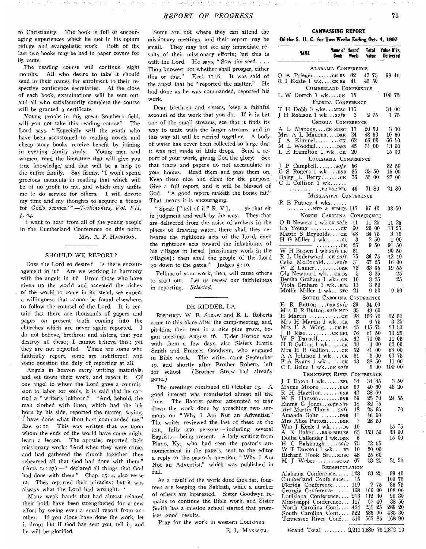to Christianity. The book is full of encouraging experiences which he met in his opium refuge and evangelistic work. Both of the last two books may be had in paper covers for 85. cents.

The reading course will continue eight months. All who desire to take it should send in their names for enrolment to their respective conference secretaries. At the close of each book; examinations will be sent out, and all who satisfactorily complete the course will be granted a certificate.

Young people in this great Southern field, will you not take this reading course? The Lord says, " Especially will the youth who have been accustomed to reading novels and cheap story books receive benefit by joining in evening family study. Young men and women, read the literature that will give you true knowledge; and that will be a help to the entire family. Say firmly, 'I won't spend precious moments in reading that which will be of no profit to me, and which only unfits me to do service for others. I will devote my time and my thoughts to acquire a fitness for God's service.'*"—Testimonies, Vol. VII, P. 64.* 

I want to hear from all of the young people in the Cumberland Conference on this point. MRS. A. F. HARRISON.

#### SHOULD WE REPORT?

DoEs the Lord so desire? Is there encouragement in it? Are we working in harmony with the angels in it? From those who have given up the world and accepted the riches of the world to come in its stead, we expect a willingness that cannot be found elsewhere, to follow the counsel of the Lord. It is certain that there are thousands of papers and pages on present truth coming into the churches which are never again reported. I do not believe, brethren and sisters, that you destroy all these; I cannot believe this; yet they are not reported. There are some who faithfully report, some are indifferent, and some question the duty of reporting at all.

Angels in heaven carry writing materials, and set down their work, and report it. Of one angel to whom the Lord gave a commission to labor for souls, it is said that he carried a " writer's inkhorn," "And, behold, the man clothed with linen, which had the ink horn by his side, reported the matter, saying. I have done what thou hast commanded me." Eze. 9: II. This was written that we upon whom the ends of the world have come might learn a lesson. The apostles reported their missionary work: "And when they were come, and had gathered the church together, they rehearsed ail that God had done with them "  $(Aets 14: 27)$  — " declared all things that God had done with them." Chap. 15:4, also verse 12. They reported their miracles; but it was always what the Lord had wrought.

Many weak hands that had almost relaxed their hold, have been strengthened for a new effort by seeing even a small report from another. If you alone have done the work, let it drop; but if God has sent you, tell it, and he will be glorified.

Some are not where they can attend the missionary meetings, and their report may be small. They may not see any immediate results of their missionary efforts; but this is with the Lord. He says, "Sow thy seed. . . . Thou knowest not whether shall prosper, either this or that." Eccl. II: 6. It was said of the angel that he " reported the matter." He had done as he was commanded, reported his work.

Dear brethren and sisters, keep a faithful account of the work that you do. If it is but one of the small streams, see that it finds its way to unite with the larger streams, and in this way all will be carried together. A body of water has never been collected so large that it was not made of little drops. Send a report of your work, giving God the glory. See that tracts and papers do not accumulate in your homes. Read them and pass them on. Keep them nice and clean for the purpose. Give a full report, and it will be blessed of God. "A good report maketh the bones fat." That means it is encouraging.

" Speak  $[$ " tell of it," R. V.], . . . ye that sit in judgment and walk by the way. They that are delivered from the noise of archers in the places of drawing water, there shall they rehearse the righteous acts of the Lord, even the righteous acts toward the inhabitants of his villages in Israel [missionary work in the villages] : then shall the people of the Lord go down to the gates." Judges 5: to.

Telling of your work, then, will cause others to start out. Let us renew our faithfulness in reporting.— *Selected.* 

#### DE RIDDER, LA.

BRETHREN W. E. STRAW and B. L. Roberts came to this place after the camp-meeting, and, pitching their tent in a nice pine grove, began meetings August 16. Elder Horton was with them a few days, also Sisters Hattie Smith and Frances Goodwyn, who engaged in Bible work. The writer came September 19, and shortly after Brother Roberts left for school. (Brother Straw had already gone.)

The meetings continued till October 13. A good interest was manifested almost all the time. The Baptist pastor attempted to tear down the work done by preaching two sermons on " Why I Am Not an Adventist." The writer reviewed the last of these at the tent, fully 25o persons — including several Baptists — being present. A lady writing from Plano, Ky., who had seen the pastor's announcement in the papers, sent to the editor a reply to the pastor's question, " Why I Am Not an Adventist," which was published in full.

As a result of the work done thus far, fourteen are keeping the Sabbath, while a number of others are interested. Sister Goodwyn remains to continue the Bible work, and Sister Smith has a mission school started that promises good -results.

Pray for the work in western Louisiana.

E. L. MAXWELL.

**CANVASSING REPORT** 

**Of the S. U. C. for Two Weeks Ending, Oct. 4, 1907** 

| NAME                                                                                  | Name of Hours'<br>Book -  | Work       | Total<br>Value            | Value B'ks<br>Delivered     |
|---------------------------------------------------------------------------------------|---------------------------|------------|---------------------------|-----------------------------|
|                                                                                       | ALABAMA CONFERENCE        |            |                           |                             |
| O A PriegerCK BS 82<br>R I Keate 1 wkCK BS                                            | CUMBERLAND CONFERENCE     | 41         | 47 75<br>45 50            | 99 40                       |
| L W Dortch 1 wkck                                                                     |                           | 15         |                           | 100 75                      |
| T H Dobb 3 wksmisc 116                                                                | FLORIDA CONFERENCE        |            |                           | 34 OO                       |
| J H Robison 1 wksofp                                                                  |                           | 3          | 275                       | 175                         |
|                                                                                       | GEORGIA CONFERENCE        | 17         |                           |                             |
| A L ManousCK MISC<br>Mrs A L ManousD&R                                                |                           | 24         | 20 50<br>48 50            | 300<br>$10\hphantom{}50$    |
| $J$ A Kimmel $CK$ 62                                                                  |                           |            | 66 00                     | 66 50                       |
| M L Woodall D&R<br>L E Hamilton 1 wkck                                                |                           | 45<br>20   | 31<br>00                  | $13\ \red{00}$<br>15.<br>00 |
|                                                                                       | LOUISIANA CONFERENCE      |            |                           |                             |
| P Campbell $\mathcal{E}$<br>J                                                         |                           | - 56       |                           | 32 50                       |
| G S Rogers 1 wkD&R<br>Daisy L Berryck                                                 |                           | 35<br>76   | $35\,$ $50$<br>55 00      | 15.<br>00<br>27<br>00       |
| C L Collison 1 wk<br>$\ldots \ldots \ldots$ . BR D&R BFL                              |                           | 46         | 21 80                     | 21 80                       |
|                                                                                       | MISSISSIPPI CONFERENCE    |            |                           |                             |
| $R$ E Putney 4 wks<br>$\ldots$ NTP & BIBLES                                           |                           | -117       | 9740                      | 38 50                       |
| O B Newton 1 wk CK sofp                                                               | NORTH CAROLINA            | 11         | CONFERENCE<br>11 25       | 25<br>11.                   |
|                                                                                       |                           | 60         | 20 00                     | $13\,25$                    |
| Mattie S Reynoldscĸ                                                                   |                           | 48         | 24 75                     | 375                         |
| H G Miller 1 wkcc                                                                     | . CK                      | -3<br>25   | $2\, \, 50$<br>9<br>50    | 1<br>00<br>91<br>50         |
| W H Brown 1 wk sofp CK                                                                |                           | 31         | $\bullet$                 | 90 50                       |
| R L Underwood: . CK SofP                                                              |                           | 75         | 36 75                     | 42 40                       |
|                                                                                       |                           | 51<br>73   | 25<br>67<br>6395          | 16 00<br>$19\,55$           |
| Ola Newton 1 wkCK BS                                                                  |                           | -5         | 3 25                      | 25                          |
| Bertha Graham 1 wkck                                                                  |                           | 10         | 325                       | 25                          |
| Viola Graham 1 wk. BFL<br>Mollie Miller 1 wksrc                                       |                           | 11<br>21   | 3.<br>50<br>9.<br>50      | 950                         |
|                                                                                       | SOUTH CAROLINA CONFERENCE |            |                           |                             |
| E R<br>Button $D$ &R S <i>of</i> P                                                    |                           | 39         | 34<br>00                  |                             |
| Mrs E R Button.sofp NTP<br>н<br>Martin CK                                             |                           | 35<br>98   | 60<br>49<br>156<br>75     | $62\,50$                    |
| H Martin 1 wkck<br>Mrs                                                                |                           | 3          | 75<br>6                   | 3 25                        |
| Mrs E A WingCK BS                                                                     |                           | 45         | 115<br>75                 | 23<br>-50                   |
| В<br>$Rise. \ldots \ldots \ldots \text{CK }BFL$<br>$\mathbf{I}$<br>$W$ P Darnell $CK$ |                           | 76<br>62   | 61<br>50<br>70 05         | $13\,25$<br>11-<br>05       |
| H B Gallion 1 wkck                                                                    |                           | 38         | 4<br>00                   | 62 00                       |
| Mrs H B Gallionck                                                                     |                           | 52         | 41<br>$00\,$              | 88.<br>00                   |
| A A Johnson 1 wkCK<br>F A Evans 1 wkCK                                                |                           | 31<br>43   | 3<br>$^{00}$<br>.38<br>50 | 60 75<br>11 00              |
| L Belue 1 wk. . CK SOfP<br>С                                                          |                           |            | $_{00}$<br>5              | $100\text{ }00$             |
|                                                                                       | TENNESSEE RIVER           |            | CONFERENCE                | 3 50                        |
| J T Eaton 1 wkBFL<br>Mamie Moore  D&R                                                 |                           | 34<br>60   | 3485<br>40 60             | 45 20                       |
| R H Hazelton D&R                                                                      |                           | 42         | 38<br>60                  |                             |
| W R Hanson,  D&R                                                                      |                           | 39         | 25<br>70                  | 24 55                       |
| Emma G Jonessofp NTP<br>Mrs Martin Thornsofp                                          |                           | 18<br>18   | 32<br>75<br>25<br>95      | 70                          |
| Amanda Gahr D&R                                                                       |                           | 11         | 16.00                     |                             |
| Mrs Alice Patton D&R                                                                  |                           | 7          | 28<br>50                  |                             |
| Wm J Keele 1 wk<br>K BakerBR & BIBLES<br>A                                            |                           | 10<br>65   | 153<br>50                 | 15 75<br>33 00              |
| Dollie Callender 1 wk. D&R                                                            |                           | 6          |                           | 15 00                       |
| н с<br>Balsbaughsofp                                                                  |                           | 75         | 55<br>72                  |                             |
| $\overline{W}$ T Dawson 1 wkBR<br>Richard Hook Sr MISC                                |                           | 10<br>48   | 20<br>$_{00}$<br>25<br>60 |                             |
|                                                                                       |                           | 67         | 25<br>53                  | $31\ \ 20$                  |
| Alabama Conference                                                                    | RECAPITULATION            | 123        | 25<br>93                  | 9940                        |
| Cumberland Conference                                                                 |                           | -15        |                           | 75<br>100 <sub>1</sub>      |
| Florida Conference                                                                    |                           | 119        | 75<br>2                   | 35<br>75                    |
| Georgia Conference<br>Louisiana Conference                                            |                           | 168<br>213 | 00<br>166<br>30<br>112    | 108<br>$_{00}$<br>96<br>30  |
| Mississippi Conference                                                                |                           | 117        | 97<br>40                  | 38 50                       |
| North Carolina Conf                                                                   |                           | 424        | 255<br>25                 | 289 20<br>435 30            |
| South Carolina Conf<br>Tennessee River Conf                                           |                           | 522<br>510 | 585<br>90<br>567<br>85    | 168<br>90                   |
|                                                                                       |                           |            |                           |                             |

Grand Total ....... 2,211 1,880 70 1,372 10